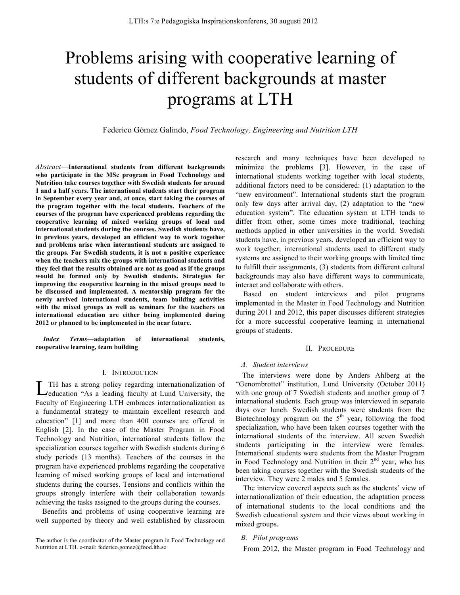# Problems arising with cooperative learning of students of different backgrounds at master programs at LTH

Federico Gómez Galindo, *Food Technology, Engineering and Nutrition LTH*

*Abstract*—**International students from different backgrounds who participate in the MSc program in Food Technology and Nutrition take courses together with Swedish students for around 1 and a half years. The international students start their program in September every year and, at once, start taking the courses of the program together with the local students. Teachers of the courses of the program have experienced problems regarding the cooperative learning of mixed working groups of local and international students during the courses. Swedish students have, in previous years, developed an efficient way to work together and problems arise when international students are assigned to the groups. For Swedish students, it is not a positive experience when the teachers mix the groups with international students and they feel that the results obtained are not as good as if the groups would be formed only by Swedish students. Strategies for improving the cooperative learning in the mixed groups need to be discussed and implemented. A mentorship program for the newly arrived international students, team building activities with the mixed groups as well as seminars for the teachers on international education are either being implemented during 2012 or planned to be implemented in the near future.**

*Index Terms***—adaptation of international students, cooperative learning, team building**

## I. INTRODUCTION

TH has a strong policy regarding internationalization of **L**TH has a strong policy regarding internationalization of education "As a leading faculty at Lund University, the Faculty of Engineering LTH embraces internationalization as a fundamental strategy to maintain excellent research and education" [1] and more than 400 courses are offered in English [2]. In the case of the Master Program in Food Technology and Nutrition, international students follow the specialization courses together with Swedish students during 6 study periods (13 months). Teachers of the courses in the program have experienced problems regarding the cooperative learning of mixed working groups of local and international students during the courses. Tensions and conflicts within the groups strongly interfere with their collaboration towards achieving the tasks assigned to the groups during the courses.

Benefits and problems of using cooperative learning are well supported by theory and well established by classroom

The author is the coordinator of the Master program in Food Technology and Nutrition at LTH. e-mail: federico.gomez@food.lth.se

research and many techniques have been developed to minimize the problems [3]. However, in the case of international students working together with local students, additional factors need to be considered: (1) adaptation to the "new environment". International students start the program only few days after arrival day, (2) adaptation to the "new education system". The education system at LTH tends to differ from other, some times more traditional, teaching methods applied in other universities in the world. Swedish students have, in previous years, developed an efficient way to work together; international students used to different study systems are assigned to their working groups with limited time to fulfill their assignments, (3) students from different cultural backgrounds may also have different ways to communicate, interact and collaborate with others.

Based on student interviews and pilot programs implemented in the Master in Food Technology and Nutrition during 2011 and 2012, this paper discusses different strategies for a more successful cooperative learning in international groups of students.

#### II. PROCEDURE

#### *A. Student interviews*

The interviews were done by Anders Ahlberg at the "Genombrottet" institution, Lund University (October 2011) with one group of 7 Swedish students and another group of 7 international students. Each group was interviewed in separate days over lunch. Swedish students were students from the Biotechnology program on the  $5<sup>th</sup>$  year, following the food specialization, who have been taken courses together with the international students of the interview. All seven Swedish students participating in the interview were females. International students were students from the Master Program in Food Technology and Nutrition in their  $2<sup>nd</sup>$  year, who has been taking courses together with the Swedish students of the interview. They were 2 males and 5 females.

The interview covered aspects such as the students' view of internationalization of their education, the adaptation process of international students to the local conditions and the Swedish educational system and their views about working in mixed groups.

## *B. Pilot programs*

From 2012, the Master program in Food Technology and